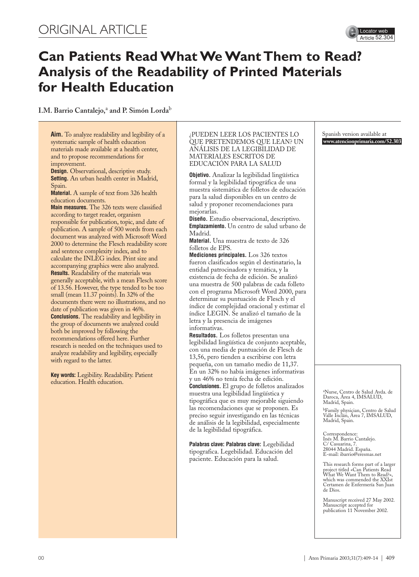# ORIGINAL ARTICLE



# **Can Patients Read What We Want Them to Read? Analysis of the Readability of Printed Materials for Health Education**

**I.M. Barrio Cantalejo,**<sup>a</sup> **and P. Simón Lorda**<sup>b</sup>

**Aim.** To analyze readability and legibility of a systematic sample of health education materials made available at a health center, and to propose recommendations for improvement.

**Design.** Observational, descriptive study. **Setting.** An urban health center in Madrid, Spain.

**Material.** A sample of text from 326 health education documents.

**Main measures.** The 326 texts were classified according to target reader, organism responsible for publication, topic, and date of publication. A sample of 500 words from each document was analyzed with Microsoft Word 2000 to determine the Flesch readability score and sentence complexity index, and to calculate the INLEG index. Print size and accompanying graphics were also analyzed. **Results.** Readability of the materials was generally acceptable, with a mean Flesch score of 13.56. However, the type tended to be too small (mean 11.37 points). In 32% of the documents there were no illustrations, and no date of publication was given in 46%. **Conclusions.** The readability and legibility in the group of documents we analyzed could both be improved by following the recommendations offered here. Further research is needed on the techniques used to analyze readability and legibility, especially with regard to the latter.

**Key words:** Legibility. Readability. Patient education. Health education.

#### ¿PUEDEN LEER LOS PACIENTES LO QUE PRETENDEMOS QUE LEAN? UN ANÁLISIS DE LA LEGIBILIDAD DE MATERIALES ESCRITOS DE EDUCACIÓN PARA LA SALUD

**Objetivo.** Analizar la legibilidad lingüística formal y la legibilidad tipográfica de una muestra sistemática de folletos de educación para la salud disponibles en un centro de salud y proponer recomendaciones para mejorarlas.

**Diseño.** Estudio observacional, descriptivo. **Emplazamiento.** Un centro de salud urbano de Madrid.

**Material.** Una muestra de texto de 326 folletos de EPS.

**Mediciones principales.** Los 326 textos fueron clasificados según el destinatario, la entidad patrocinadora y temática, y la existencia de fecha de edición. Se analizó una muestra de 500 palabras de cada folleto con el programa Microsoft Word 2000, para determinar su puntuación de Flesch y el índice de complejidad oracional y estimar el índice LEGIN. Se analizó el tamaño de la letra y la presencia de imágenes informativas.

**Resultados.** Los folletos presentan una legibilidad lingüística de conjunto aceptable, con una media de puntuación de Flesch de 13,56, pero tienden a escribirse con letra pequeña, con un tamaño medio de 11,37. En un 32% no había imágenes informativas y un 46% no tenía fecha de edición. **Conclusiones.** El grupo de folletos analizados muestra una legibilidad lingüística y tipográfica que es muy mejorable siguiendo las recomendaciones que se proponen. Es preciso seguir investigando en las técnicas de análisis de la legibilidad, especialmente de la legibilidad tipográfica.

**Palabras clave: Palabras clave:** Legebilidad tipografica. Legebilidad. Educación del paciente. Educación para la salud.

Spanish version available at **www.atencionprimaria.com/52.303**

<sup>a</sup>Nurse, Centro de Salud Avda. de Daroca, Área 4, IMSALUD, Madrid, Spain.

<sup>b</sup>Family physician, Centro de Salud Valle Inclán, Área 7, IMSALUD, Madrid, Spain.

Correspondence: Inés M. Barrio Cantalejo. C/ Casuarina, 7. 28044 Madrid. España. E-mail: ibarrio@eresmas.net

This research forms part of a larger project titled «Can Patients Read What We Want Them to Read?», which was commended the XXIst Certamen de Enfermería San Juan de Dios.

Manuscript received 27 May 2002. Manuscript accepted for publication 11 November 2002.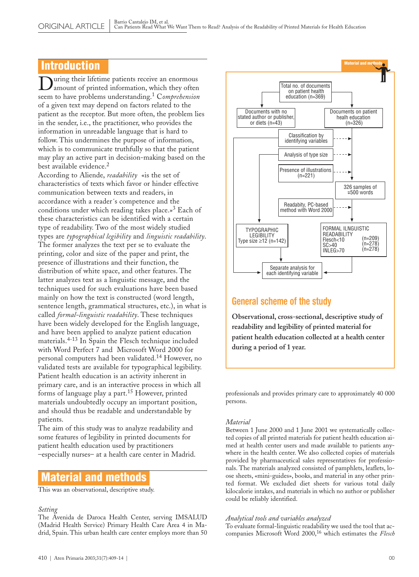### Introduction

D uring their lifetime patients receive an enormous amount of printed information, which they often seem to have problems understanding.<sup>1</sup> C*omprehension* of a given text may depend on factors related to the patient as the receptor. But more often, the problem lies in the sender, i.e., the practitioner, who provides the information in unreadable language that is hard to follow. This undermines the purpose of information, which is to communicate truthfully so that the patient may play an active part in decision-making based on the best available evidence.<sup>2</sup>

According to Aliende, *readability* «is the set of characteristics of texts which favor or hinder effective communication between texts and readers, in accordance with a reader´s competence and the conditions under which reading takes place.»<sup>3</sup> Each of these characteristics can be identified with a certain type of readability. Two of the most widely studied types are *typographical legibility* and *linguistic readability*. The former analyzes the text per se to evaluate the printing, color and size of the paper and print, the presence of illustrations and their function, the distribution of white space, and other features. The latter analyzes text as a linguistic message, and the techniques used for such evaluations have been based mainly on how the text is constructed (word length, sentence length, grammatical structures, etc.), in what is called *formal-linguistic readability*. These techniques have been widely developed for the English language, and have been applied to analyze patient education materials.4-13 In Spain the Flesch technique included with Word Perfect 7 and Microsoft Word 2000 for personal computers had been validated.<sup>14</sup> However, no validated tests are available for typographical legibility. Patient health education is an activity inherent in primary care, and is an interactive process in which all forms of language play a part.<sup>15</sup> However, printed materials undoubtedly occupy an important position, and should thus be readable and understandable by patients.

The aim of this study was to analyze readability and some features of legibility in printed documents for patient health education used by practitioners –especially nurses– at a health care center in Madrid.

### Material and methods

This was an observational, descriptive study.

#### *Setting*

The Avenida de Daroca Health Center, serving IMSALUD (Madrid Health Service) Primary Health Care Area 4 in Madrid, Spain. This urban health care center employs more than 50



### **General scheme of the study**

**Observational, cross-sectional, descriptive study of readability and legibility of printed material for patient health education collected at a health center during a period of 1 year.**

professionals and provides primary care to approximately 40 000 persons.

#### *Material*

Between 1 June 2000 and 1 June 2001 we systematically collected copies of all printed materials for patient health education aimed at health center users and made available to patients anywhere in the health center. We also collected copies of materials provided by pharmaceutical sales representatives for professionals. The materials analyzed consisted of pamphlets, leaflets, loose sheets, «mini-guides», books, and material in any other printed format. We excluded diet sheets for various total daily kilocalorie intakes, and materials in which no author or publisher could be reliably identified.

#### *Analytical tools and variables analyzed*

To evaluate formal-linguistic readability we used the tool that accompanies Microsoft Word 2000,<sup>16</sup> which estimates the *Flesch*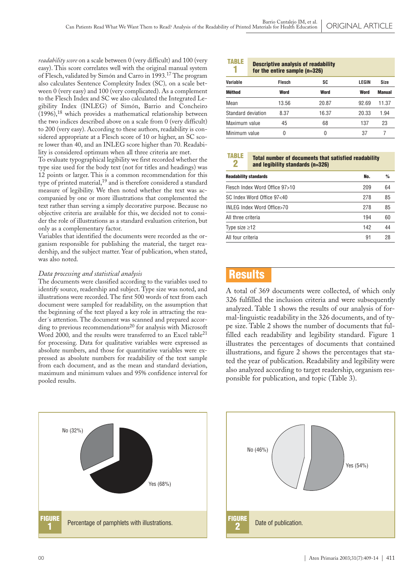*readability score* on a scale between 0 (very difficult) and 100 (very easy). This score correlates well with the original manual system of Flesch, validated by Simón and Carro in 1993.<sup>17</sup> The program also calculates Sentence Complexity Index (SC)*,* on a scale between 0 (very easy) and 100 (very complicated). As a complement to the Flesch Index and SC we also calculated the Integrated Legibility Index (INLEG) of Simón, Barrio and Concheiro  $(1996)$ ,<sup>18</sup> which provides a mathematical relationship between the two indices described above on a scale from 0 (very difficult) to 200 (very easy). According to these authors, readability is considered appropriate at a Flesch score of 10 or higher, an SC score lower than 40, and an INLEG score higher than 70. Readability is considered optimum when all three criteria are met.

To evaluate typographical legibility we first recorded whether the type size used for the body text (not for titles and headings) was 12 points or larger. This is a common recommendation for this type of printed material,<sup>19</sup> and is therefore considered a standard measure of legibility. We then noted whether the text was accompanied by one or more illustrations that complemented the text rather than serving a simply decorative purpose. Because no objective criteria are available for this, we decided not to consider the role of illustrations as a standard evaluation criterion, but only as a complementary factor.

Variables that identified the documents were recorded as the organism responsible for publishing the material, the target readership, and the subject matter. Year of publication, when stated, was also noted.

#### *Data processing and statistical analysis*

The documents were classified according to the variables used to identify source, readership and subject. Type size was noted, and illustrations were recorded. The first 500 words of text from each document were sampled for readability, on the assumption that the beginning of the text played a key role in attracting the reader´s attention. The document was scanned and prepared according to previous recommendations<sup>20</sup> for analysis with Microsoft Word 2000, and the results were transferred to an Excel table<sup>21</sup> for processing. Data for qualitative variables were expressed as absolute numbers, and those for quantitative variables were expressed as absolute numbers for readability of the text sample from each document, and as the mean and standard deviation, maximum and minimum values and 95% confidence interval for pooled results.



#### Descriptive analysis of readability for the entire sample (n=326) TABLE 1

|                    | <b>101 GILLING SAILING (II-020)</b> |       |       |               |  |
|--------------------|-------------------------------------|-------|-------|---------------|--|
| Variable           | Flesch                              | SC    | LEGIN | Size          |  |
| <b>Méthod</b>      | Word                                | Word  | Word  | <b>Manual</b> |  |
| Mean               | 13.56                               | 20.87 | 92.69 | 11.37         |  |
| Standard deviation | 8.37                                | 16.37 | 20.33 | 1.94          |  |
| Maximum value      | 45                                  | 68    | 137   | 23            |  |
| Minimum value      | 0                                   | 0     | 37    |               |  |

TABLE

2

Total number of documents that satisfied readability and legibility standards (n=326)

| <b>Readability standards</b>   | No. | $\frac{9}{6}$ |
|--------------------------------|-----|---------------|
| Flesch Index Word Office 97>10 | 209 | 64            |
| SC Index Word Office 97<40     | 278 | 85            |
| INLEG Index Word Office>70     | 278 | 85            |
| All three criteria             | 194 | 60            |
| Type size $\geq$ 12            | 142 | 44            |
| All four criteria              | 91  | 28            |
|                                |     |               |

## **Results**

A total of 369 documents were collected, of which only 326 fulfilled the inclusion criteria and were subsequently analyzed. Table 1 shows the results of our analysis of formal-linguistic readability in the 326 documents, and of type size. Table 2 shows the number of documents that fulfilled each readability and legibility standard. Figure 1 illustrates the percentages of documents that contained illustrations, and figure 2 shows the percentages that stated the year of publication. Readability and legibility were also analyzed according to target readership, organism responsible for publication, and topic (Table 3).

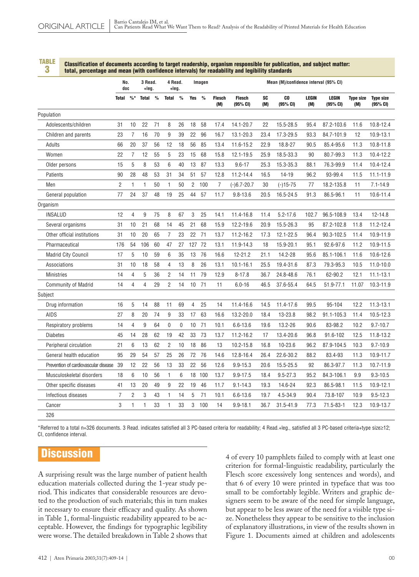TABLE 3

#### Classification of documents according to target readership, organism responsible for publication, and subject matter: total, percentage and mean (with confidence intervals) for readability and legibility standards

|                                      | No.<br>doc     |                 | 3 Read.<br>+leg. |               | 4 Read.<br>+leq. |               | Imagen         |               |                      | Mean (M)/confidence interval (95% CI) |                  |                            |                     |                          |                         |                              |
|--------------------------------------|----------------|-----------------|------------------|---------------|------------------|---------------|----------------|---------------|----------------------|---------------------------------------|------------------|----------------------------|---------------------|--------------------------|-------------------------|------------------------------|
|                                      | <b>Total</b>   | $\frac{9}{6}$ * | <b>Total</b>     | $\frac{0}{0}$ | <b>Total</b>     | $\frac{9}{6}$ | <b>Yes</b>     | $\frac{0}{0}$ | <b>Flesch</b><br>(M) | <b>Flesch</b><br>(95% CI)             | <b>SC</b><br>(M) | C <sub>0</sub><br>(95% CI) | <b>LEGIN</b><br>(M) | <b>LEGIN</b><br>(95% CI) | <b>Type size</b><br>(M) | <b>Type size</b><br>(95% CI) |
| Population                           |                |                 |                  |               |                  |               |                |               |                      |                                       |                  |                            |                     |                          |                         |                              |
| Adolescents/children                 | 31             | 10              | 22               | 71            | 8                | 26            | 18             | 58            | 17.4                 | 14.1-20.7                             | 22               | 15.5-28.5                  | 95.4                | 87.2-103.6               | 11.6                    | 10.8-12.4                    |
| Children and parents                 | 23             | 7               | 16               | 70            | 9                | 39            | 22             | 96            | 16.7                 | 13.1-20.3                             | 23.4             | 17.3-29.5                  | 93.3                | 84.7-101.9               | 12                      | 10.9-13.1                    |
| Adults                               | 66             | 20              | 37               | 56            | 12               | 18            | 56             | 85            | 13.4                 | 11.6-15.2                             | 22.9             | 18.8-27                    | 90.5                | 85.4-95.6                | 11.3                    | $10.8 - 11.8$                |
| Women                                | 22             | $\overline{7}$  | 12               | 55            | 5                | 23            | 15             | 68            | 15.8                 | 12.1-19.5                             | 25.9             | 18.5-33.3                  | 90                  | 80.7-99.3                | 11.3                    | 10.4-12.2                    |
| Older persons                        | 15             | 5               | 8                | 53            | 6                | 40            | 13             | 87            | 13.3                 | $9.6 - 17$                            | 25.3             | 15.3-35.3                  | 88.1                | 76.3-99.9                | 11.4                    | 10.4-12.4                    |
| Patients                             | 90             | 28              | 48               | 53            | 31               | 34            | 51             | 57            | 12.8                 | 11.2-14.4                             | 16.5             | 14-19                      | 96.2                | 93-99.4                  | 11.5                    | $11.1 - 11.9$                |
| Men                                  | $\overline{2}$ | $\mathbf{1}$    | $\mathbf{1}$     | 50            | $\overline{1}$   | 50            | $\overline{2}$ | 100           | $\overline{7}$       | $(-)6.7 - 20.7$                       | 30               | $(-)15 - 75$               | 77                  | 18.2-135.8               | 11                      | $7.1 - 14.9$                 |
| General population                   | 77             | 24              | 37               | 48            | 19               | 25            | 44             | 57            | 11.7                 | $9.8 - 13.6$                          | 20.5             | 16.5-24.5                  | 91.3                | 86.5-96.1                | 11                      | 10.6-11.4                    |
| Organism                             |                |                 |                  |               |                  |               |                |               |                      |                                       |                  |                            |                     |                          |                         |                              |
| <b>INSALUD</b>                       | 12             | 4               | 9                | 75            | 8                | 67            | 3              | 25            | 14.1                 | 11.4-16.8                             | 11.4             | $5.2 - 17.6$               | 102.7               | 96.5-108.9               | 13.4                    | 12-14.8                      |
| Several organisms                    | 31             | 10              | 21               | 68            | 14               | 45            | 21             | 68            | 15.9                 | 12.2-19.6                             | 20.9             | 15.5-26.3                  | 95                  | 87.2-102.8               | 11.8                    | 11.2-12.4                    |
| Other official institutions          | 31             | 10              | 20               | 65            | $\overline{7}$   | 23            | 22             | 71            | 13.7                 | 11.2-16.2                             | 17.3             | 12.1-22.5                  | 96.4                | 90.3-102.5               | 11.4                    | 10.9-11.9                    |
| Pharmaceutical                       | 176            | 54              | 106              | 60            | 47               | 27            | 127 72         |               | 13.1                 | 11.9-14.3                             | 18               | 15.9-20.1                  | 95.1                | 92.6-97.6                | 11.2                    | 10.9-11.5                    |
| <b>Madrid City Council</b>           | 17             | 5               | 10               | 59            | 6                | 35            | 13             | 76            | 16.6                 | 12-21.2                               | 21.1             | 14.2-28                    | 95.6                | 85.1-106.1               | 11.6                    | 10.6-12.6                    |
| Associations                         | 31             | 10              | 18               | 58            | $\overline{4}$   | 13            | 8              | 26            | 13.1                 | $10.1 - 16.1$                         | 25.5             | 19.4-31.6                  | 87.3                | 79.3-95.3                | 10.5                    | $11.0 - 10.0$                |
| <b>Ministries</b>                    | 14             | $\overline{4}$  | 5                | 36            | $\overline{2}$   | 14            | 11             | 79            | 12.9                 | $8 - 17.8$                            | 36.7             | 24.8-48.6                  | 76.1                | 62-90.2                  | 12.1                    | $11.1 - 13.1$                |
| <b>Community of Madrid</b>           | 14             | $\overline{4}$  | $\overline{4}$   | 29            | $\overline{2}$   | 14            | 10             | 71            | 11                   | $6.0 - 16$                            | 46.5             | 37.6-55.4                  | 64.5                | 51.9-77.1                | 11.07                   | 10.3-11.9                    |
| Subject                              |                |                 |                  |               |                  |               |                |               |                      |                                       |                  |                            |                     |                          |                         |                              |
| Drug information                     | 16             | 5               | 14               | 88            | 11               | 69            | $\overline{4}$ | 25            | 14                   | 11.4-16.6                             | 14.5             | 11.4-17.6                  | 99.5                | 95-104                   | 12.2                    | $11.3 - 13.1$                |
| <b>AIDS</b>                          | 27             | 8               | 20               | 74            | 9                | 33            | 17             | 63            | 16.6                 | 13.2-20.0                             | 18.4             | 13-23.8                    | 98.2                | 91.1-105.3               | 11.4                    | 10.5-12.3                    |
| Respiratory problems                 | 14             | $\overline{4}$  | 9                | 64            | $\mathbf 0$      | $\mathbf 0$   | 10             | 71            | 10.1                 | $6.6 - 13.6$                          | 19.6             | 13.2-26                    | 90.6                | 83-98.2                  | 10.2                    | $9.7 - 10.7$                 |
| <b>Diabetes</b>                      | 45             | 14              | 28               | 62            | 19               | 42            | 33             | 73            | 13.7                 | $11.2 - 16.2$                         | 17               | 13.4-20.6                  | 96.8                | 91.6-102                 | 12.5                    | 11.8-13.2                    |
| Peripheral circulation               | 21             | 6               | 13               | 62            | $\overline{2}$   | 10            | 18             | 86            | 13                   | 10.2-15.8                             | 16.8             | 10-23.6                    | 96.2                | 87.9-104.5               | 10.3                    | $9.7 - 10.9$                 |
| General health education             | 95             | 29              | 54               | 57            | 25               | 26            | 72             | 76            | 14.6                 | 12.8-16.4                             | 26.4             | 22.6-30.2                  | 88.2                | 83.4-93                  | 11.3                    | 10.9-11.7                    |
| Prevention of cardiovascular disease | 39             | 12              | 22               | 56            | 13               | 33            | 22             | 56            | 12.6                 | $9.9 - 15.3$                          | 20.6             | 15.5-25.5                  | 92                  | 86.3-97.7                | 11.3                    | 10.7-11.9                    |
| Musculoskeletal disorders            | 18             | 6               | 10               | 56            | $\mathbf{1}$     | 6             |                | 18 100        | 13.7                 | $9.9 - 17.5$                          | 18.4             | $9.5 - 27.3$               | 95.2                | 84.3-106.1               | 9.9                     | $9.3 - 10.5$                 |
| Other specific diseases              | 41             | 13              | 20               | 49            | 9                | 22            | 19             | 46            | 11.7                 | $9.1 - 14.3$                          | 19.3             | 14.6-24                    | 92.3                | 86.5-98.1                | 11.5                    | 10.9-12.1                    |
| Infectious diseases                  | 7              | $\overline{2}$  | 3                | 43            | 1                | 14            | 5              | 71            | 10.1                 | $6.6 - 13.6$                          | 19.7             | 4.5-34.9                   | 90.4                | 73.8-107                 | 10.9                    | $9.5 - 12.3$                 |
| Cancer                               | 3              | 1               | 1                | 33            | $\mathbf{1}$     | 33            | 3              | 100           | 14                   | $9.9 - 18.1$                          | 36.7             | 31.5-41.9                  | 77.3                | 71.5-83-1                | 12.3                    | 10.9-13.7                    |
| 326                                  |                |                 |                  |               |                  |               |                |               |                      |                                       |                  |                            |                     |                          |                         |                              |

\*Referred to a total n=326 documents. 3 Read. indicates satisfied all 3 PC-based criteria for readability; 4 Read.+leg., satisfied all 3 PC-based criteria+type size≥12; CI, confidence interval.

## **Discussion**

A surprising result was the large number of patient health education materials collected during the 1-year study period. This indicates that considerable resources are devoted to the production of such materials; this in turn makes it necessary to ensure their efficacy and quality. As shown in Table 1, formal-linguistic readability appeared to be acceptable. However, the findings for typographic legibility were worse. The detailed breakdown in Table 2 shows that 4 of every 10 pamphlets failed to comply with at least one criterion for formal-linguistic readability, particularly the Flesch score excessively long sentences and words), and that 6 of every 10 were printed in typeface that was too small to be comfortably legible. Writers and graphic designers seem to be aware of the need for simple language, but appear to be less aware of the need for a visible type size. Nonetheless they appear to be sensitive to the inclusion of explanatory illustrations, in view of the results shown in Figure 1. Documents aimed at children and adolescents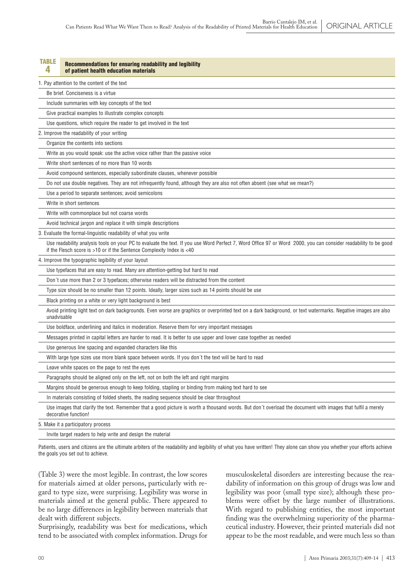| <b>TABLE</b><br>4 | Recommendations for ensuring readability and legibility<br>of patient health education materials                                                                                                                                         |
|-------------------|------------------------------------------------------------------------------------------------------------------------------------------------------------------------------------------------------------------------------------------|
|                   | 1. Pay attention to the content of the text                                                                                                                                                                                              |
|                   | Be brief. Conciseness is a virtue                                                                                                                                                                                                        |
|                   | Include summaries with key concepts of the text                                                                                                                                                                                          |
|                   | Give practical examples to illustrate complex concepts                                                                                                                                                                                   |
|                   | Use questions, which require the reader to get involved in the text                                                                                                                                                                      |
|                   | 2. Improve the readability of your writing                                                                                                                                                                                               |
|                   | Organize the contents into sections                                                                                                                                                                                                      |
|                   | Write as you would speak: use the active voice rather than the passive voice                                                                                                                                                             |
|                   | Write short sentences of no more than 10 words                                                                                                                                                                                           |
|                   | Avoid compound sentences, especially subordinate clauses, whenever possible                                                                                                                                                              |
|                   | Do not use double negatives. They are not infrequently found, although they are also not often absent (see what we mean?)                                                                                                                |
|                   | Use a period to separate sentences; avoid semicolons                                                                                                                                                                                     |
|                   | Write in short sentences                                                                                                                                                                                                                 |
|                   | Write with commonplace but not coarse words                                                                                                                                                                                              |
|                   | Avoid technical jargon and replace it with simple descriptions                                                                                                                                                                           |
|                   | 3. Evaluate the formal-linguistic readability of what you write                                                                                                                                                                          |
|                   | Use readability analysis tools on your PC to evaluate the text. If you use Word Perfect 7, Word Office 97 or Word 2000, you can consider readability to be good<br>if the Flesch score is >10 or if the Sentence Complexity Index is <40 |
|                   | 4. Improve the typographic legibility of your layout                                                                                                                                                                                     |
|                   | Use typefaces that are easy to read. Many are attention-getting but hard to read                                                                                                                                                         |
|                   | Don't use more than 2 or 3 typefaces; otherwise readers will be distracted from the content                                                                                                                                              |
|                   | Type size should be no smaller than 12 points. Ideally, larger sizes such as 14 points should be use                                                                                                                                     |
|                   | Black printing on a white or very light background is best                                                                                                                                                                               |
| unadvisable       | Avoid printing light text on dark backgrounds. Even worse are graphics or overprinted text on a dark background, or text watermarks. Negative images are also                                                                            |
|                   | Use boldface, underlining and italics in moderation. Reserve them for very important messages                                                                                                                                            |
|                   | Messages printed in capital letters are harder to read. It is better to use upper and lower case together as needed                                                                                                                      |
|                   | Use generous line spacing and expanded characters like this                                                                                                                                                                              |
|                   | With large type sizes use more blank space between words. If you don't the text will be hard to read                                                                                                                                     |
|                   | Leave white spaces on the page to rest the eyes                                                                                                                                                                                          |
|                   | Paragraphs should be aligned only on the left, not on both the left and right margins                                                                                                                                                    |
|                   | Margins should be generous enough to keep folding, stapling or binding from making text hard to see                                                                                                                                      |
|                   | In materials consisting of folded sheets, the reading sequence should be clear throughout                                                                                                                                                |
|                   | Use images that clarify the text. Remember that a good picture is worth a thousand words. But don't overload the document with images that fulfil a merely<br>decorative function!                                                       |
|                   | 5. Make it a participatory process                                                                                                                                                                                                       |
|                   | Invite target readers to help write and design the material                                                                                                                                                                              |

Patients, users and citizens are the ultimate arbiters of the readability and legibility of what you have written! They alone can show you whether your efforts achieve the goals you set out to achieve.

(Table 3) were the most legible. In contrast, the low scores for materials aimed at older persons, particularly with regard to type size, were surprising. Legibility was worse in materials aimed at the general public. There appeared to be no large differences in legibility between materials that dealt with different subjects.

Surprisingly, readability was best for medications, which tend to be associated with complex information. Drugs for

musculoskeletal disorders are interesting because the readability of information on this group of drugs was low and legibility was poor (small type size); although these problems were offset by the large number of illustrations. With regard to publishing entities, the most important finding was the overwhelming superiority of the pharmaceutical industry. However, their printed materials did not appear to be the most readable, and were much less so than